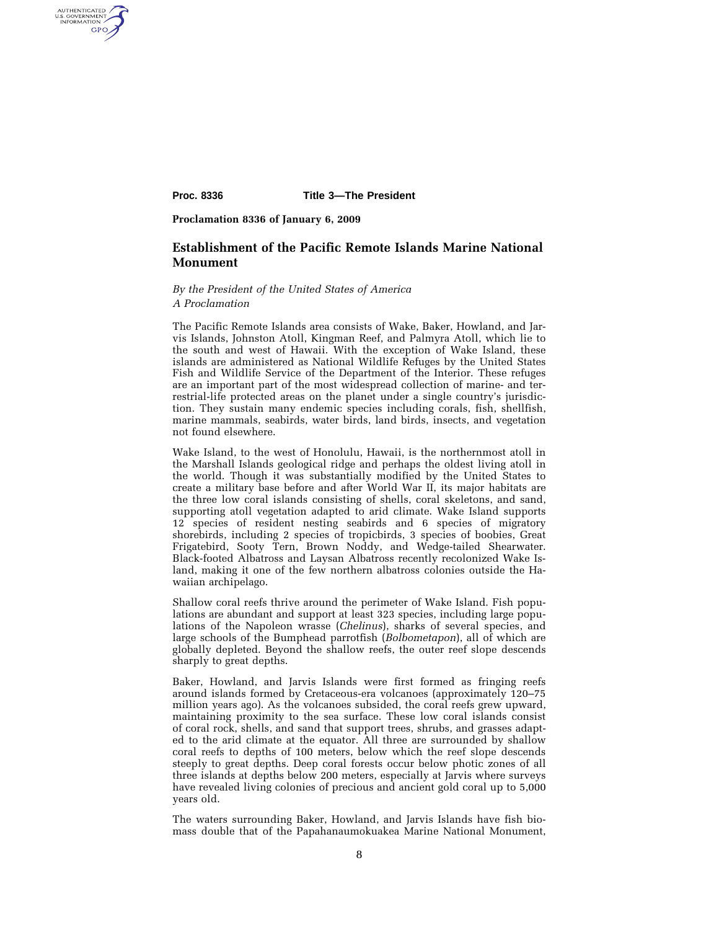AUTHENTICATED<br>U.S. GOVERNMENT<br>INFORMATION GPO

**Proc. 8336 Title 3—The President** 

**Proclamation 8336 of January 6, 2009** 

## **Establishment of the Pacific Remote Islands Marine National Monument**

*By the President of the United States of America A Proclamation* 

The Pacific Remote Islands area consists of Wake, Baker, Howland, and Jarvis Islands, Johnston Atoll, Kingman Reef, and Palmyra Atoll, which lie to the south and west of Hawaii. With the exception of Wake Island, these islands are administered as National Wildlife Refuges by the United States Fish and Wildlife Service of the Department of the Interior. These refuges are an important part of the most widespread collection of marine- and terrestrial-life protected areas on the planet under a single country's jurisdiction. They sustain many endemic species including corals, fish, shellfish, marine mammals, seabirds, water birds, land birds, insects, and vegetation not found elsewhere.

Wake Island, to the west of Honolulu, Hawaii, is the northernmost atoll in the Marshall Islands geological ridge and perhaps the oldest living atoll in the world. Though it was substantially modified by the United States to create a military base before and after World War II, its major habitats are the three low coral islands consisting of shells, coral skeletons, and sand, supporting atoll vegetation adapted to arid climate. Wake Island supports 12 species of resident nesting seabirds and 6 species of migratory shorebirds, including 2 species of tropicbirds, 3 species of boobies, Great Frigatebird, Sooty Tern, Brown Noddy, and Wedge-tailed Shearwater. Black-footed Albatross and Laysan Albatross recently recolonized Wake Island, making it one of the few northern albatross colonies outside the Hawaiian archipelago.

Shallow coral reefs thrive around the perimeter of Wake Island. Fish populations are abundant and support at least 323 species, including large populations of the Napoleon wrasse (*Chelinus*), sharks of several species, and large schools of the Bumphead parrotfish (*Bolbometapon*), all of which are globally depleted. Beyond the shallow reefs, the outer reef slope descends sharply to great depths.

Baker, Howland, and Jarvis Islands were first formed as fringing reefs around islands formed by Cretaceous-era volcanoes (approximately 120–75 million years ago). As the volcanoes subsided, the coral reefs grew upward, maintaining proximity to the sea surface. These low coral islands consist of coral rock, shells, and sand that support trees, shrubs, and grasses adapted to the arid climate at the equator. All three are surrounded by shallow coral reefs to depths of 100 meters, below which the reef slope descends steeply to great depths. Deep coral forests occur below photic zones of all three islands at depths below 200 meters, especially at Jarvis where surveys have revealed living colonies of precious and ancient gold coral up to 5,000 years old.

The waters surrounding Baker, Howland, and Jarvis Islands have fish biomass double that of the Papahanaumokuakea Marine National Monument,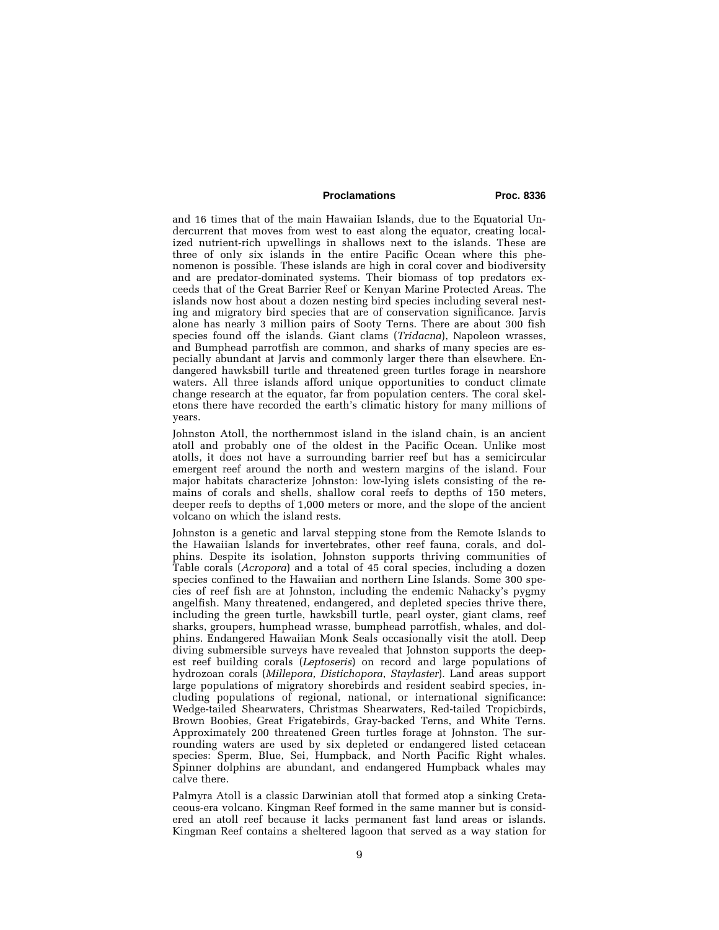## Proclamations Proc. 8336

and 16 times that of the main Hawaiian Islands, due to the Equatorial Undercurrent that moves from west to east along the equator, creating localized nutrient-rich upwellings in shallows next to the islands. These are three of only six islands in the entire Pacific Ocean where this phenomenon is possible. These islands are high in coral cover and biodiversity and are predator-dominated systems. Their biomass of top predators exceeds that of the Great Barrier Reef or Kenyan Marine Protected Areas. The islands now host about a dozen nesting bird species including several nesting and migratory bird species that are of conservation significance. Jarvis alone has nearly 3 million pairs of Sooty Terns. There are about 300 fish species found off the islands. Giant clams (*Tridacna*), Napoleon wrasses, and Bumphead parrotfish are common, and sharks of many species are especially abundant at Jarvis and commonly larger there than elsewhere. Endangered hawksbill turtle and threatened green turtles forage in nearshore waters. All three islands afford unique opportunities to conduct climate change research at the equator, far from population centers. The coral skeletons there have recorded the earth's climatic history for many millions of years.

Johnston Atoll, the northernmost island in the island chain, is an ancient atoll and probably one of the oldest in the Pacific Ocean. Unlike most atolls, it does not have a surrounding barrier reef but has a semicircular emergent reef around the north and western margins of the island. Four major habitats characterize Johnston: low-lying islets consisting of the remains of corals and shells, shallow coral reefs to depths of 150 meters, deeper reefs to depths of 1,000 meters or more, and the slope of the ancient volcano on which the island rests.

Johnston is a genetic and larval stepping stone from the Remote Islands to the Hawaiian Islands for invertebrates, other reef fauna, corals, and dolphins. Despite its isolation, Johnston supports thriving communities of Table corals (*Acropora*) and a total of 45 coral species, including a dozen species confined to the Hawaiian and northern Line Islands. Some 300 species of reef fish are at Johnston, including the endemic Nahacky's pygmy angelfish. Many threatened, endangered, and depleted species thrive there, including the green turtle, hawksbill turtle, pearl oyster, giant clams, reef sharks, groupers, humphead wrasse, bumphead parrotfish, whales, and dolphins. Endangered Hawaiian Monk Seals occasionally visit the atoll. Deep diving submersible surveys have revealed that Johnston supports the deepest reef building corals (*Leptoseris*) on record and large populations of hydrozoan corals (*Millepora, Distichopora*, *Staylaster*). Land areas support large populations of migratory shorebirds and resident seabird species, including populations of regional, national, or international significance: Wedge-tailed Shearwaters, Christmas Shearwaters, Red-tailed Tropicbirds, Brown Boobies, Great Frigatebirds, Gray-backed Terns, and White Terns. Approximately 200 threatened Green turtles forage at Johnston. The surrounding waters are used by six depleted or endangered listed cetacean species: Sperm, Blue, Sei, Humpback, and North Pacific Right whales. Spinner dolphins are abundant, and endangered Humpback whales may calve there.

Palmyra Atoll is a classic Darwinian atoll that formed atop a sinking Cretaceous-era volcano. Kingman Reef formed in the same manner but is considered an atoll reef because it lacks permanent fast land areas or islands. Kingman Reef contains a sheltered lagoon that served as a way station for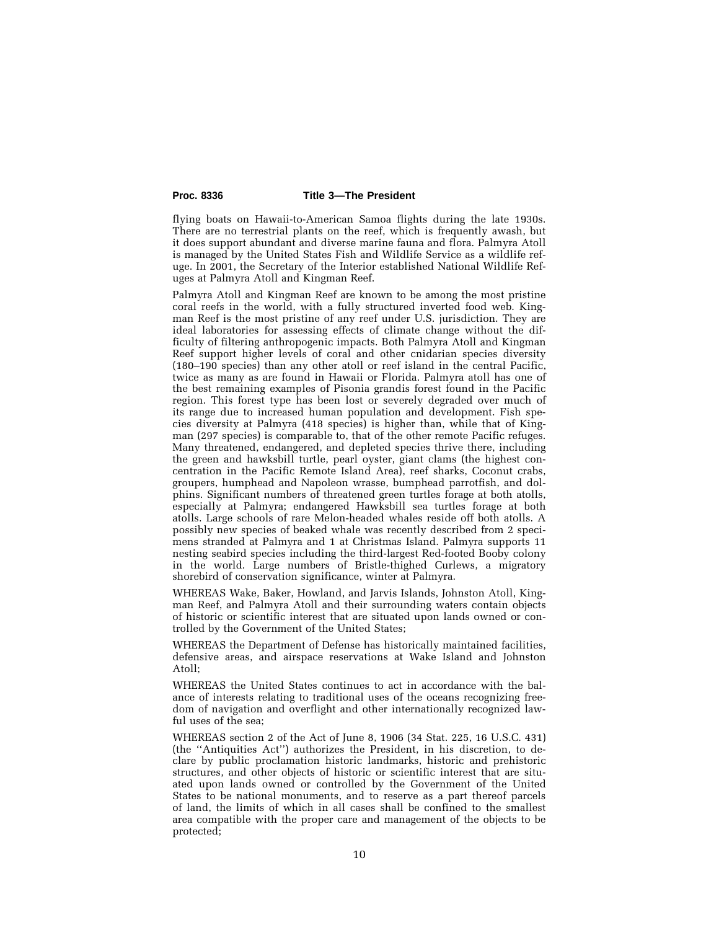flying boats on Hawaii-to-American Samoa flights during the late 1930s. There are no terrestrial plants on the reef, which is frequently awash, but it does support abundant and diverse marine fauna and flora. Palmyra Atoll is managed by the United States Fish and Wildlife Service as a wildlife refuge. In 2001, the Secretary of the Interior established National Wildlife Refuges at Palmyra Atoll and Kingman Reef.

Palmyra Atoll and Kingman Reef are known to be among the most pristine coral reefs in the world, with a fully structured inverted food web. Kingman Reef is the most pristine of any reef under U.S. jurisdiction. They are ideal laboratories for assessing effects of climate change without the difficulty of filtering anthropogenic impacts. Both Palmyra Atoll and Kingman Reef support higher levels of coral and other cnidarian species diversity (180–190 species) than any other atoll or reef island in the central Pacific, twice as many as are found in Hawaii or Florida. Palmyra atoll has one of the best remaining examples of Pisonia grandis forest found in the Pacific region. This forest type has been lost or severely degraded over much of its range due to increased human population and development. Fish species diversity at Palmyra (418 species) is higher than, while that of Kingman (297 species) is comparable to, that of the other remote Pacific refuges. Many threatened, endangered, and depleted species thrive there, including the green and hawksbill turtle, pearl oyster, giant clams (the highest concentration in the Pacific Remote Island Area), reef sharks, Coconut crabs, groupers, humphead and Napoleon wrasse, bumphead parrotfish, and dolphins. Significant numbers of threatened green turtles forage at both atolls, especially at Palmyra; endangered Hawksbill sea turtles forage at both atolls. Large schools of rare Melon-headed whales reside off both atolls. A possibly new species of beaked whale was recently described from 2 specimens stranded at Palmyra and 1 at Christmas Island. Palmyra supports 11 nesting seabird species including the third-largest Red-footed Booby colony in the world. Large numbers of Bristle-thighed Curlews, a migratory shorebird of conservation significance, winter at Palmyra.

WHEREAS Wake, Baker, Howland, and Jarvis Islands, Johnston Atoll, Kingman Reef, and Palmyra Atoll and their surrounding waters contain objects of historic or scientific interest that are situated upon lands owned or controlled by the Government of the United States;

WHEREAS the Department of Defense has historically maintained facilities, defensive areas, and airspace reservations at Wake Island and Johnston Atoll;

WHEREAS the United States continues to act in accordance with the balance of interests relating to traditional uses of the oceans recognizing freedom of navigation and overflight and other internationally recognized lawful uses of the sea;

WHEREAS section 2 of the Act of June 8, 1906 (34 Stat. 225, 16 U.S.C. 431) (the ''Antiquities Act'') authorizes the President, in his discretion, to declare by public proclamation historic landmarks, historic and prehistoric structures, and other objects of historic or scientific interest that are situated upon lands owned or controlled by the Government of the United States to be national monuments, and to reserve as a part thereof parcels of land, the limits of which in all cases shall be confined to the smallest area compatible with the proper care and management of the objects to be protected;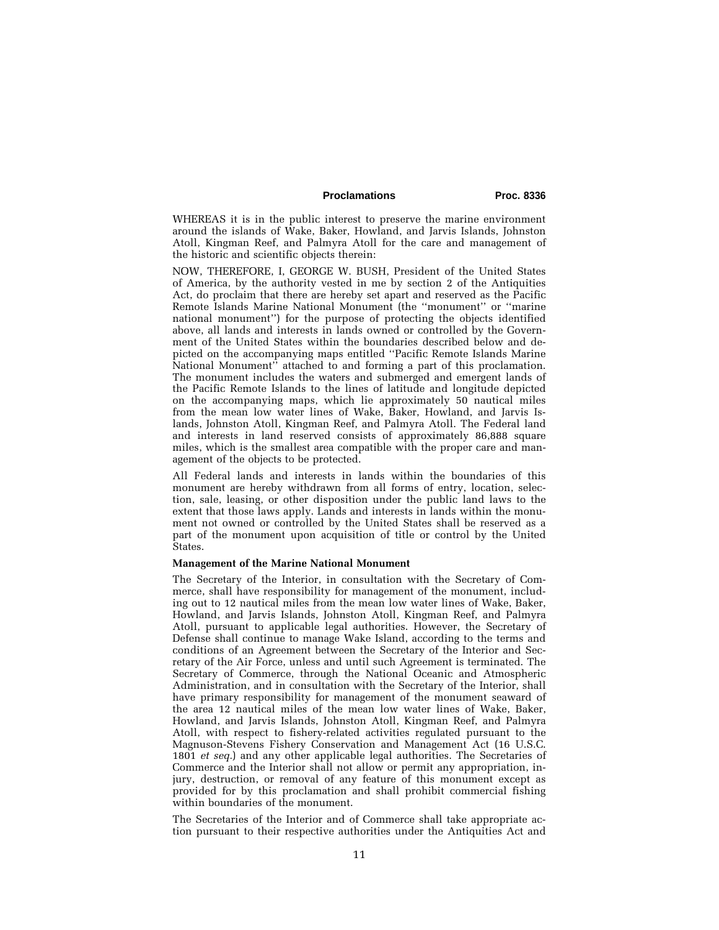## Proclamations Proc. 8336

WHEREAS it is in the public interest to preserve the marine environment around the islands of Wake, Baker, Howland, and Jarvis Islands, Johnston Atoll, Kingman Reef, and Palmyra Atoll for the care and management of the historic and scientific objects therein:

NOW, THEREFORE, I, GEORGE W. BUSH, President of the United States of America, by the authority vested in me by section 2 of the Antiquities Act, do proclaim that there are hereby set apart and reserved as the Pacific Remote Islands Marine National Monument (the ''monument'' or ''marine national monument'') for the purpose of protecting the objects identified above, all lands and interests in lands owned or controlled by the Government of the United States within the boundaries described below and depicted on the accompanying maps entitled ''Pacific Remote Islands Marine National Monument'' attached to and forming a part of this proclamation. The monument includes the waters and submerged and emergent lands of the Pacific Remote Islands to the lines of latitude and longitude depicted on the accompanying maps, which lie approximately 50 nautical miles from the mean low water lines of Wake, Baker, Howland, and Jarvis Islands, Johnston Atoll, Kingman Reef, and Palmyra Atoll. The Federal land and interests in land reserved consists of approximately 86,888 square miles, which is the smallest area compatible with the proper care and management of the objects to be protected.

All Federal lands and interests in lands within the boundaries of this monument are hereby withdrawn from all forms of entry, location, selection, sale, leasing, or other disposition under the public land laws to the extent that those laws apply. Lands and interests in lands within the monument not owned or controlled by the United States shall be reserved as a part of the monument upon acquisition of title or control by the United States.

### **Management of the Marine National Monument**

The Secretary of the Interior, in consultation with the Secretary of Commerce, shall have responsibility for management of the monument, including out to 12 nautical miles from the mean low water lines of Wake, Baker, Howland, and Jarvis Islands, Johnston Atoll, Kingman Reef, and Palmyra Atoll, pursuant to applicable legal authorities. However, the Secretary of Defense shall continue to manage Wake Island, according to the terms and conditions of an Agreement between the Secretary of the Interior and Secretary of the Air Force, unless and until such Agreement is terminated. The Secretary of Commerce, through the National Oceanic and Atmospheric Administration, and in consultation with the Secretary of the Interior, shall have primary responsibility for management of the monument seaward of the area 12 nautical miles of the mean low water lines of Wake, Baker, Howland, and Jarvis Islands, Johnston Atoll, Kingman Reef, and Palmyra Atoll, with respect to fishery-related activities regulated pursuant to the Magnuson-Stevens Fishery Conservation and Management Act (16 U.S.C. 1801 *et seq.*) and any other applicable legal authorities. The Secretaries of Commerce and the Interior shall not allow or permit any appropriation, injury, destruction, or removal of any feature of this monument except as provided for by this proclamation and shall prohibit commercial fishing within boundaries of the monument.

The Secretaries of the Interior and of Commerce shall take appropriate action pursuant to their respective authorities under the Antiquities Act and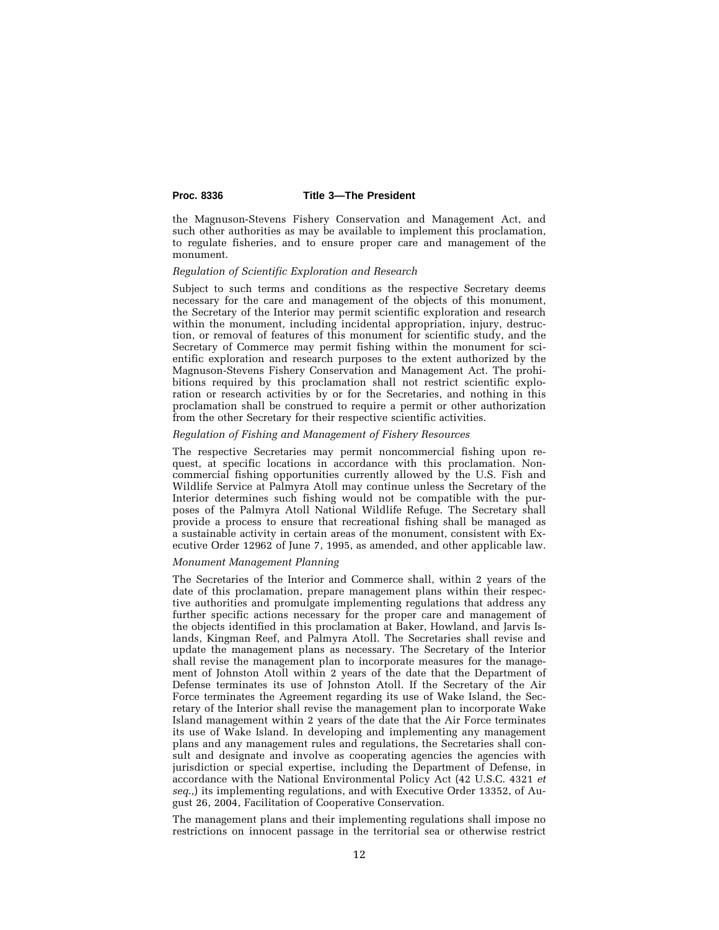the Magnuson-Stevens Fishery Conservation and Management Act, and such other authorities as may be available to implement this proclamation, to regulate fisheries, and to ensure proper care and management of the monument.

#### *Regulation of Scientific Exploration and Research*

Subject to such terms and conditions as the respective Secretary deems necessary for the care and management of the objects of this monument, the Secretary of the Interior may permit scientific exploration and research within the monument, including incidental appropriation, injury, destruction, or removal of features of this monument for scientific study, and the Secretary of Commerce may permit fishing within the monument for scientific exploration and research purposes to the extent authorized by the Magnuson-Stevens Fishery Conservation and Management Act. The prohibitions required by this proclamation shall not restrict scientific exploration or research activities by or for the Secretaries, and nothing in this proclamation shall be construed to require a permit or other authorization from the other Secretary for their respective scientific activities.

#### *Regulation of Fishing and Management of Fishery Resources*

The respective Secretaries may permit noncommercial fishing upon request, at specific locations in accordance with this proclamation. Noncommercial fishing opportunities currently allowed by the U.S. Fish and Wildlife Service at Palmyra Atoll may continue unless the Secretary of the Interior determines such fishing would not be compatible with the purposes of the Palmyra Atoll National Wildlife Refuge. The Secretary shall provide a process to ensure that recreational fishing shall be managed as a sustainable activity in certain areas of the monument, consistent with Executive Order 12962 of June 7, 1995, as amended, and other applicable law.

## *Monument Management Planning*

The Secretaries of the Interior and Commerce shall, within 2 years of the date of this proclamation, prepare management plans within their respective authorities and promulgate implementing regulations that address any further specific actions necessary for the proper care and management of the objects identified in this proclamation at Baker, Howland, and Jarvis Islands, Kingman Reef, and Palmyra Atoll. The Secretaries shall revise and update the management plans as necessary. The Secretary of the Interior shall revise the management plan to incorporate measures for the management of Johnston Atoll within 2 years of the date that the Department of Defense terminates its use of Johnston Atoll. If the Secretary of the Air Force terminates the Agreement regarding its use of Wake Island, the Secretary of the Interior shall revise the management plan to incorporate Wake Island management within 2 years of the date that the Air Force terminates its use of Wake Island. In developing and implementing any management plans and any management rules and regulations, the Secretaries shall consult and designate and involve as cooperating agencies the agencies with jurisdiction or special expertise, including the Department of Defense, in accordance with the National Environmental Policy Act (42 U.S.C. 4321 *et seq.,*) its implementing regulations, and with Executive Order 13352, of August 26, 2004, Facilitation of Cooperative Conservation.

The management plans and their implementing regulations shall impose no restrictions on innocent passage in the territorial sea or otherwise restrict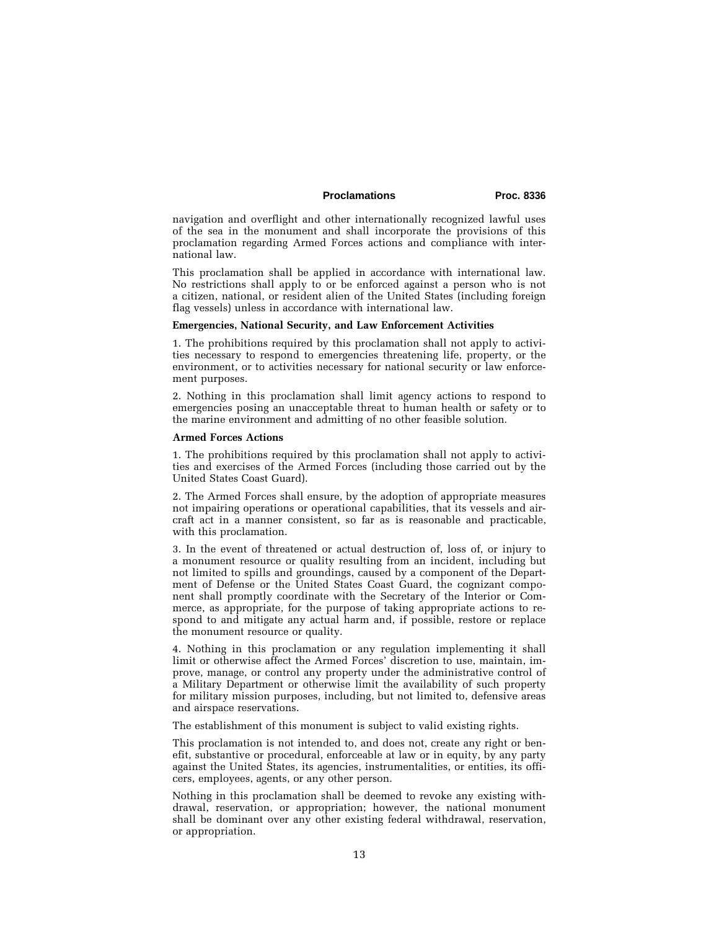## Proclamations Proc. 8336

navigation and overflight and other internationally recognized lawful uses of the sea in the monument and shall incorporate the provisions of this proclamation regarding Armed Forces actions and compliance with international law.

This proclamation shall be applied in accordance with international law. No restrictions shall apply to or be enforced against a person who is not a citizen, national, or resident alien of the United States (including foreign flag vessels) unless in accordance with international law.

#### **Emergencies, National Security, and Law Enforcement Activities**

1. The prohibitions required by this proclamation shall not apply to activities necessary to respond to emergencies threatening life, property, or the environment, or to activities necessary for national security or law enforcement purposes.

2. Nothing in this proclamation shall limit agency actions to respond to emergencies posing an unacceptable threat to human health or safety or to the marine environment and admitting of no other feasible solution.

### **Armed Forces Actions**

1. The prohibitions required by this proclamation shall not apply to activities and exercises of the Armed Forces (including those carried out by the United States Coast Guard).

2. The Armed Forces shall ensure, by the adoption of appropriate measures not impairing operations or operational capabilities, that its vessels and aircraft act in a manner consistent, so far as is reasonable and practicable, with this proclamation.

3. In the event of threatened or actual destruction of, loss of, or injury to a monument resource or quality resulting from an incident, including but not limited to spills and groundings, caused by a component of the Department of Defense or the United States Coast Guard, the cognizant component shall promptly coordinate with the Secretary of the Interior or Commerce, as appropriate, for the purpose of taking appropriate actions to respond to and mitigate any actual harm and, if possible, restore or replace the monument resource or quality.

4. Nothing in this proclamation or any regulation implementing it shall limit or otherwise affect the Armed Forces' discretion to use, maintain, improve, manage, or control any property under the administrative control of a Military Department or otherwise limit the availability of such property for military mission purposes, including, but not limited to, defensive areas and airspace reservations.

The establishment of this monument is subject to valid existing rights.

This proclamation is not intended to, and does not, create any right or benefit, substantive or procedural, enforceable at law or in equity, by any party against the United States, its agencies, instrumentalities, or entities, its officers, employees, agents, or any other person.

Nothing in this proclamation shall be deemed to revoke any existing withdrawal, reservation, or appropriation; however, the national monument shall be dominant over any other existing federal withdrawal, reservation, or appropriation.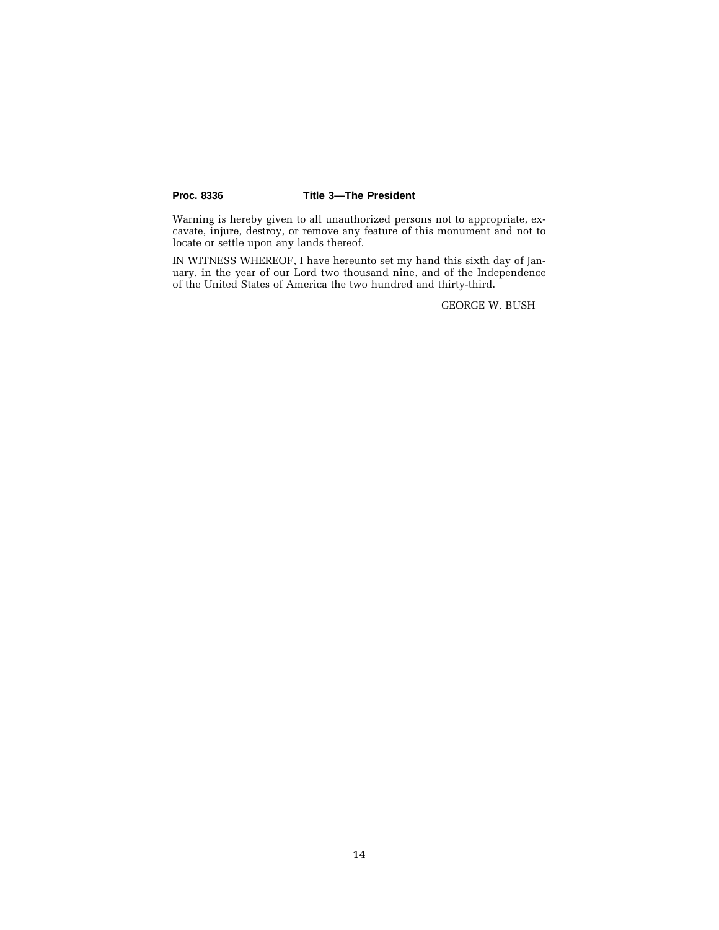Warning is hereby given to all unauthorized persons not to appropriate, excavate, injure, destroy, or remove any feature of this monument and not to locate or settle upon any lands thereof.

IN WITNESS WHEREOF, I have hereunto set my hand this sixth day of January, in the year of our Lord two thousand nine, and of the Independence of the United States of America the two hundred and thirty-third.

GEORGE W. BUSH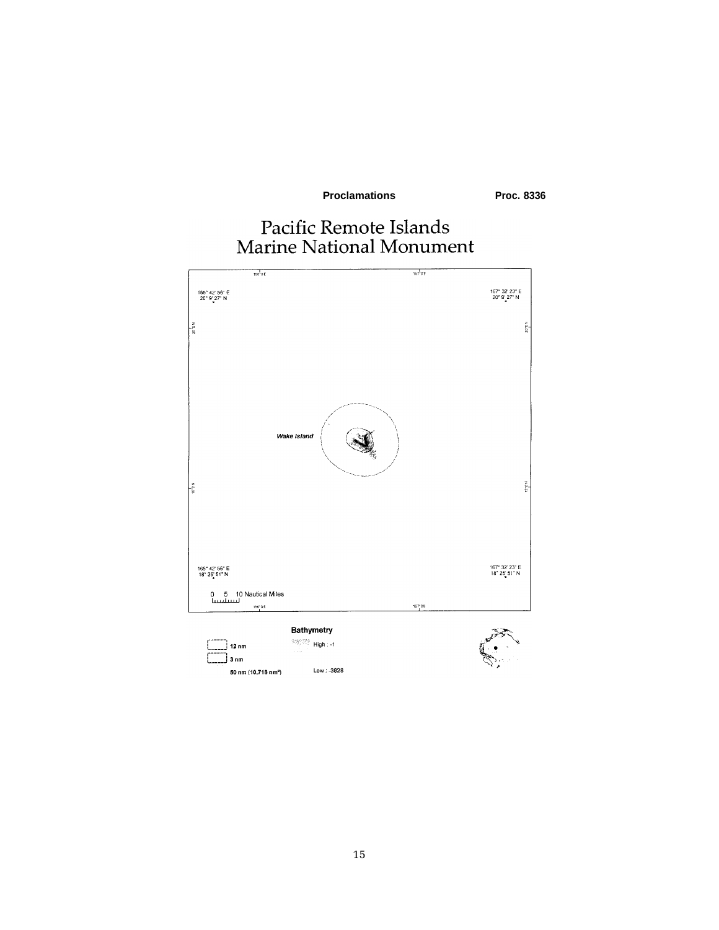**Proclamations** 

Proc. 8336

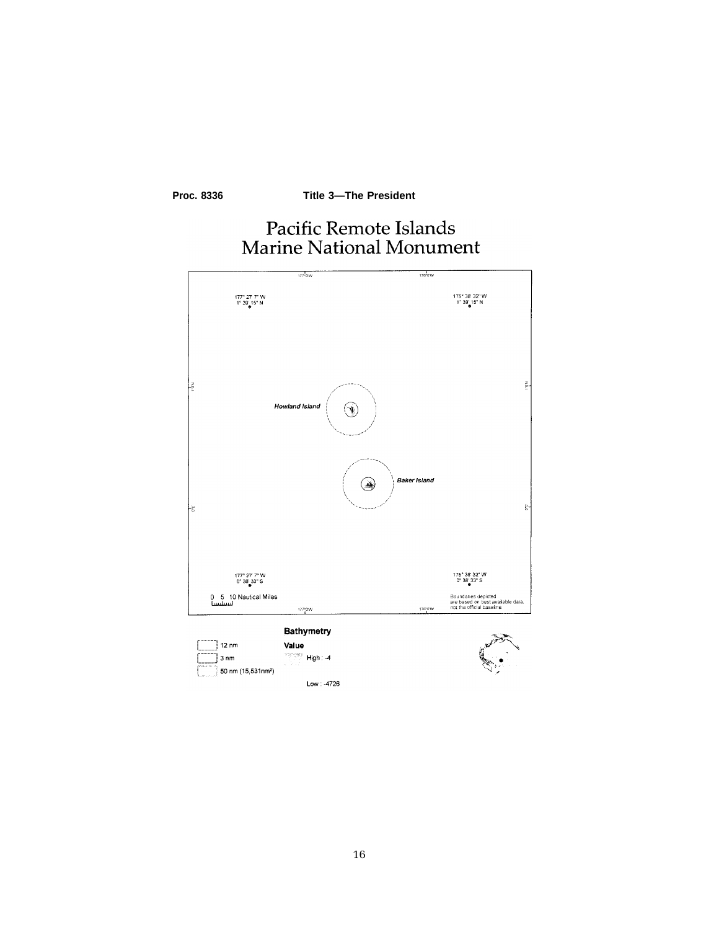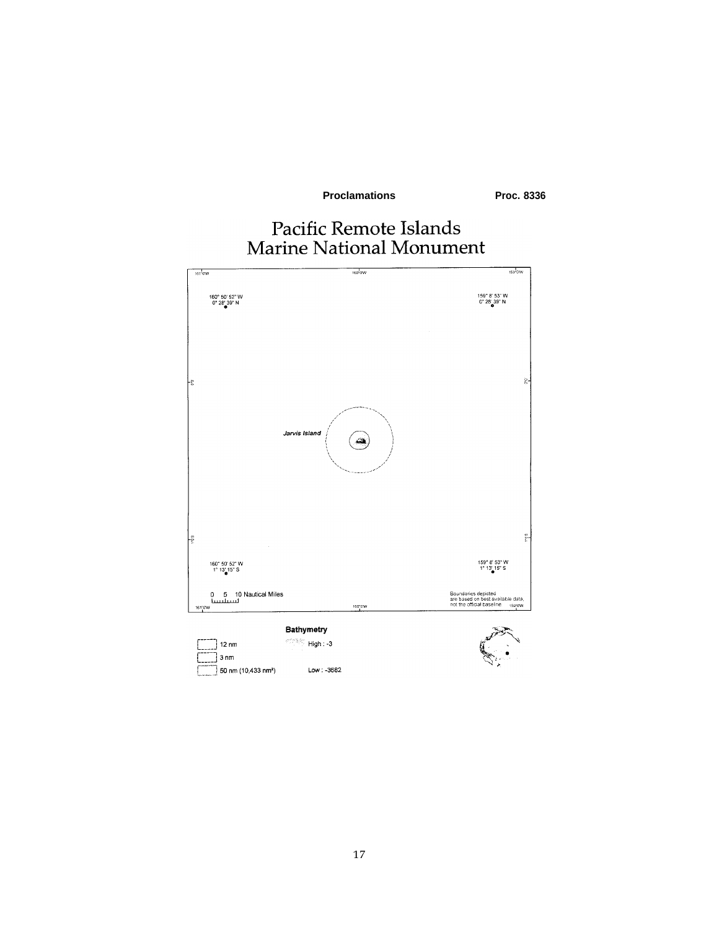**Proclamations** 

Proc. 8336

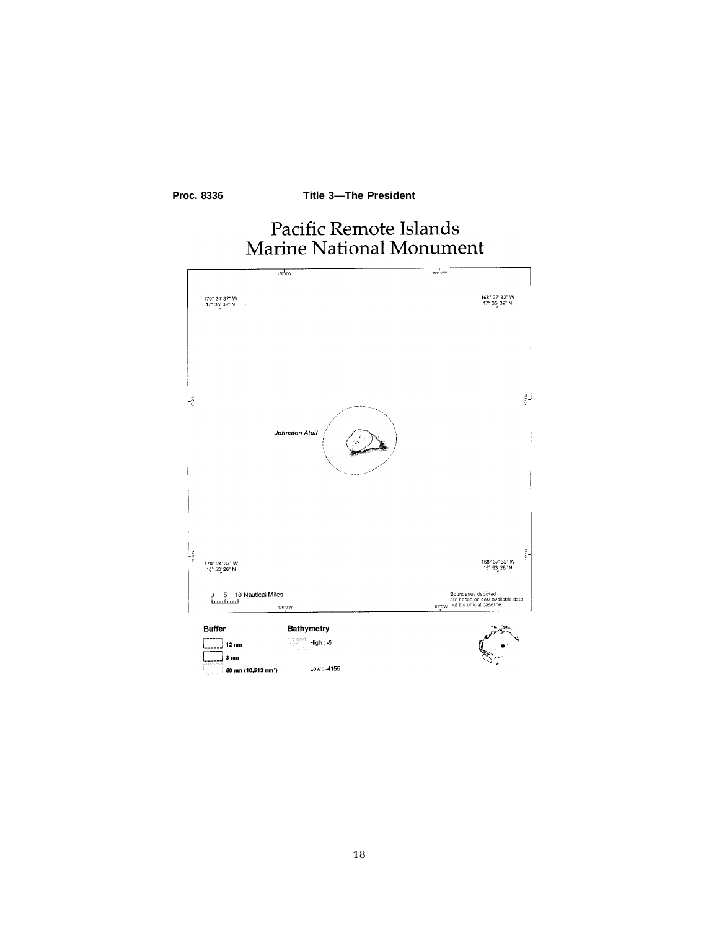